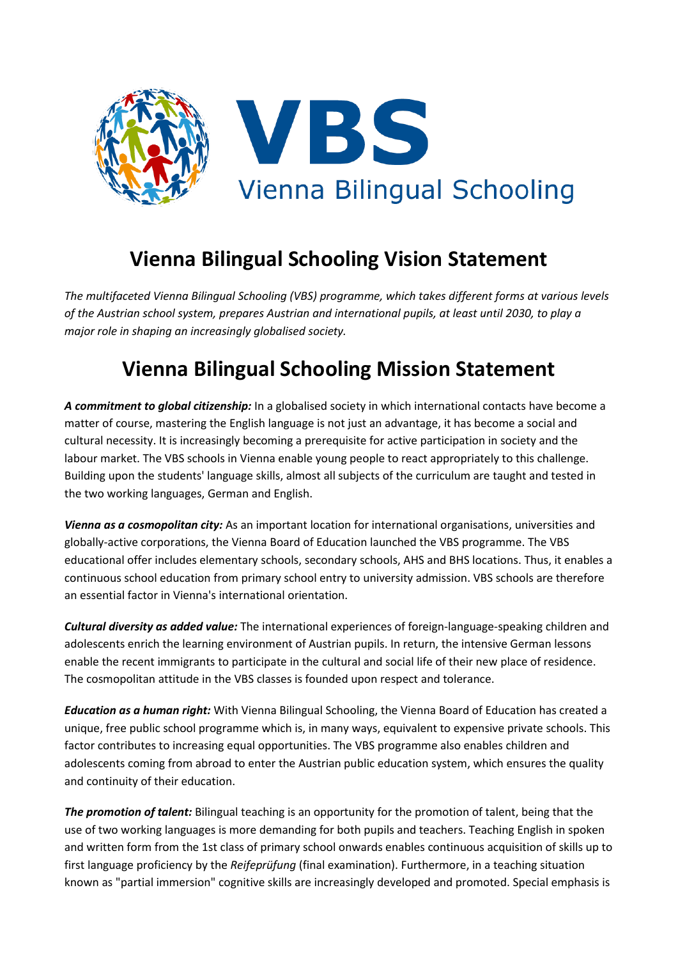

## **Vienna Bilingual Schooling Vision Statement**

*The multifaceted Vienna Bilingual Schooling (VBS) programme, which takes different forms at various levels of the Austrian school system, prepares Austrian and international pupils, at least until 2030, to play a major role in shaping an increasingly globalised society.*

## **Vienna Bilingual Schooling Mission Statement**

*A commitment to global citizenship:* In a globalised society in which international contacts have become a matter of course, mastering the English language is not just an advantage, it has become a social and cultural necessity. It is increasingly becoming a prerequisite for active participation in society and the labour market. The VBS schools in Vienna enable young people to react appropriately to this challenge. Building upon the students' language skills, almost all subjects of the curriculum are taught and tested in the two working languages, German and English.

*Vienna as a cosmopolitan city:* As an important location for international organisations, universities and globally-active corporations, the Vienna Board of Education launched the VBS programme. The VBS educational offer includes elementary schools, secondary schools, AHS and BHS locations. Thus, it enables a continuous school education from primary school entry to university admission. VBS schools are therefore an essential factor in Vienna's international orientation.

*Cultural diversity as added value:* The international experiences of foreign-language-speaking children and adolescents enrich the learning environment of Austrian pupils. In return, the intensive German lessons enable the recent immigrants to participate in the cultural and social life of their new place of residence. The cosmopolitan attitude in the VBS classes is founded upon respect and tolerance.

*Education as a human right:* With Vienna Bilingual Schooling, the Vienna Board of Education has created a unique, free public school programme which is, in many ways, equivalent to expensive private schools. This factor contributes to increasing equal opportunities. The VBS programme also enables children and adolescents coming from abroad to enter the Austrian public education system, which ensures the quality and continuity of their education.

*The promotion of talent:* Bilingual teaching is an opportunity for the promotion of talent, being that the use of two working languages is more demanding for both pupils and teachers. Teaching English in spoken and written form from the 1st class of primary school onwards enables continuous acquisition of skills up to first language proficiency by the *Reifeprüfung* (final examination). Furthermore, in a teaching situation known as "partial immersion" cognitive skills are increasingly developed and promoted. Special emphasis is